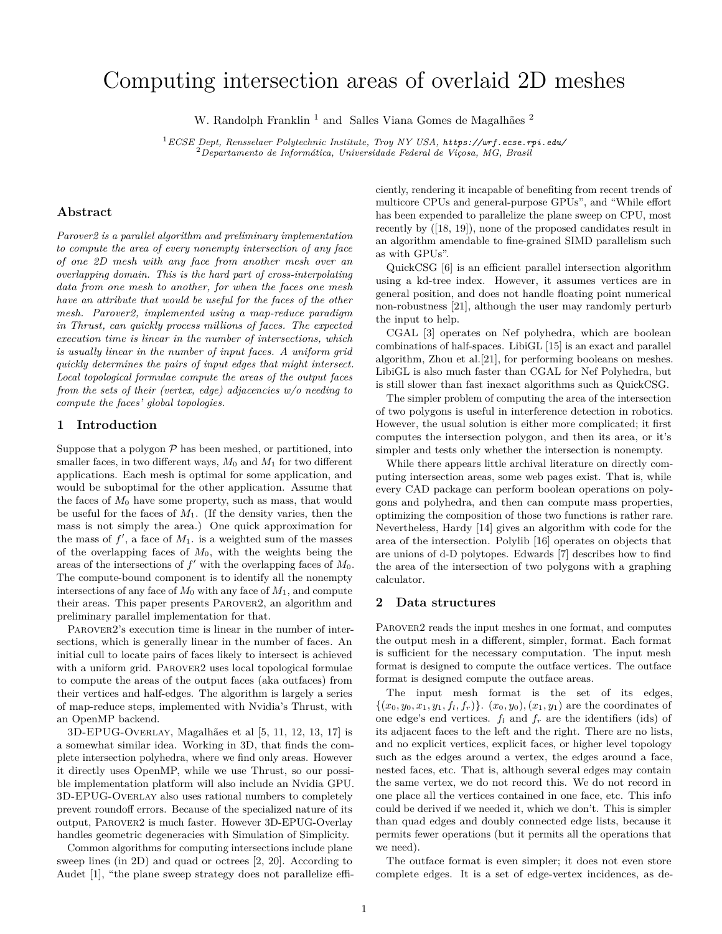# Computing intersection areas of overlaid 2D meshes

W. Randolph Franklin<sup>1</sup> and Salles Viana Gomes de Magalhães<sup>2</sup>

<sup>1</sup>*ECSE Dept, Rensselaer Polytechnic Institute, Troy NY USA, https://wrf.ecse.rpi.edu/* <sup>2</sup>*Departamento de Informática, Universidade Federal de Viçosa, MG, Brasil*

#### **Abstract**

*Parover2 is a parallel algorithm and preliminary implementation to compute the area of every nonempty intersection of any face of one 2D mesh with any face from another mesh over an overlapping domain. This is the hard part of cross-interpolating data from one mesh to another, for when the faces one mesh have an attribute that would be useful for the faces of the other mesh. Parover2, implemented using a map-reduce paradigm in Thrust, can quickly process millions of faces. The expected execution time is linear in the number of intersections, which is usually linear in the number of input faces. A uniform grid quickly determines the pairs of input edges that might intersect. Local topological formulae compute the areas of the output faces from the sets of their (vertex, edge) adjacencies w/o needing to compute the faces' global topologies.*

#### **1 Introduction**

Suppose that a polygon  $P$  has been meshed, or partitioned, into smaller faces, in two different ways,  $M_0$  and  $M_1$  for two different applications. Each mesh is optimal for some application, and would be suboptimal for the other application. Assume that the faces of  $M_0$  have some property, such as mass, that would be useful for the faces of  $M_1$ . (If the density varies, then the mass is not simply the area.) One quick approximation for the mass of  $f'$ , a face of  $M_1$ . is a weighted sum of the masses of the overlapping faces of  $M_0$ , with the weights being the areas of the intersections of  $f'$  with the overlapping faces of  $M_0$ . The compute-bound component is to identify all the nonempty intersections of any face of  $M_0$  with any face of  $M_1$ , and compute their areas. This paper presents Parover2, an algorithm and preliminary parallel implementation for that.

PAROVER2's execution time is linear in the number of intersections, which is generally linear in the number of faces. An initial cull to locate pairs of faces likely to intersect is achieved with a uniform grid. PAROVER2 uses local topological formulae to compute the areas of the output faces (aka outfaces) from their vertices and half-edges. The algorithm is largely a series of map-reduce steps, implemented with Nvidia's Thrust, with an OpenMP backend.

3D-EPUG-Overlay, Magalhães et al [5, 11, 12, 13, 17] is a somewhat similar idea. Working in 3D, that finds the complete intersection polyhedra, where we find only areas. However it directly uses OpenMP, while we use Thrust, so our possible implementation platform will also include an Nvidia GPU. 3D-EPUG-Overlay also uses rational numbers to completely prevent roundoff errors. Because of the specialized nature of its output, Parover2 is much faster. However 3D-EPUG-Overlay handles geometric degeneracies with Simulation of Simplicity.

Common algorithms for computing intersections include plane sweep lines (in 2D) and quad or octrees [2, 20]. According to Audet [1], "the plane sweep strategy does not parallelize efficiently, rendering it incapable of benefiting from recent trends of multicore CPUs and general-purpose GPUs", and "While effort has been expended to parallelize the plane sweep on CPU, most recently by ([18, 19]), none of the proposed candidates result in an algorithm amendable to fine-grained SIMD parallelism such as with GPUs".

QuickCSG [6] is an efficient parallel intersection algorithm using a kd-tree index. However, it assumes vertices are in general position, and does not handle floating point numerical non-robustness [21], although the user may randomly perturb the input to help.

CGAL [3] operates on Nef polyhedra, which are boolean combinations of half-spaces. LibiGL [15] is an exact and parallel algorithm, Zhou et al.[21], for performing booleans on meshes. LibiGL is also much faster than CGAL for Nef Polyhedra, but is still slower than fast inexact algorithms such as QuickCSG.

The simpler problem of computing the area of the intersection of two polygons is useful in interference detection in robotics. However, the usual solution is either more complicated; it first computes the intersection polygon, and then its area, or it's simpler and tests only whether the intersection is nonempty.

While there appears little archival literature on directly computing intersection areas, some web pages exist. That is, while every CAD package can perform boolean operations on polygons and polyhedra, and then can compute mass properties, optimizing the composition of those two functions is rather rare. Nevertheless, Hardy [14] gives an algorithm with code for the area of the intersection. Polylib [16] operates on objects that are unions of d-D polytopes. Edwards [7] describes how to find the area of the intersection of two polygons with a graphing calculator.

#### **2 Data structures**

PAROVER2 reads the input meshes in one format, and computes the output mesh in a different, simpler, format. Each format is sufficient for the necessary computation. The input mesh format is designed to compute the outface vertices. The outface format is designed compute the outface areas.

The input mesh format is the set of its edges,  $\{(x_0, y_0, x_1, y_1, f_l, f_r)\}\.$   $(x_0, y_0), (x_1, y_1)$  are the coordinates of one edge's end vertices.  $f_l$  and  $f_r$  are the identifiers (ids) of its adjacent faces to the left and the right. There are no lists, and no explicit vertices, explicit faces, or higher level topology such as the edges around a vertex, the edges around a face, nested faces, etc. That is, although several edges may contain the same vertex, we do not record this. We do not record in one place all the vertices contained in one face, etc. This info could be derived if we needed it, which we don't. This is simpler than quad edges and doubly connected edge lists, because it permits fewer operations (but it permits all the operations that we need).

The outface format is even simpler; it does not even store complete edges. It is a set of edge-vertex incidences, as de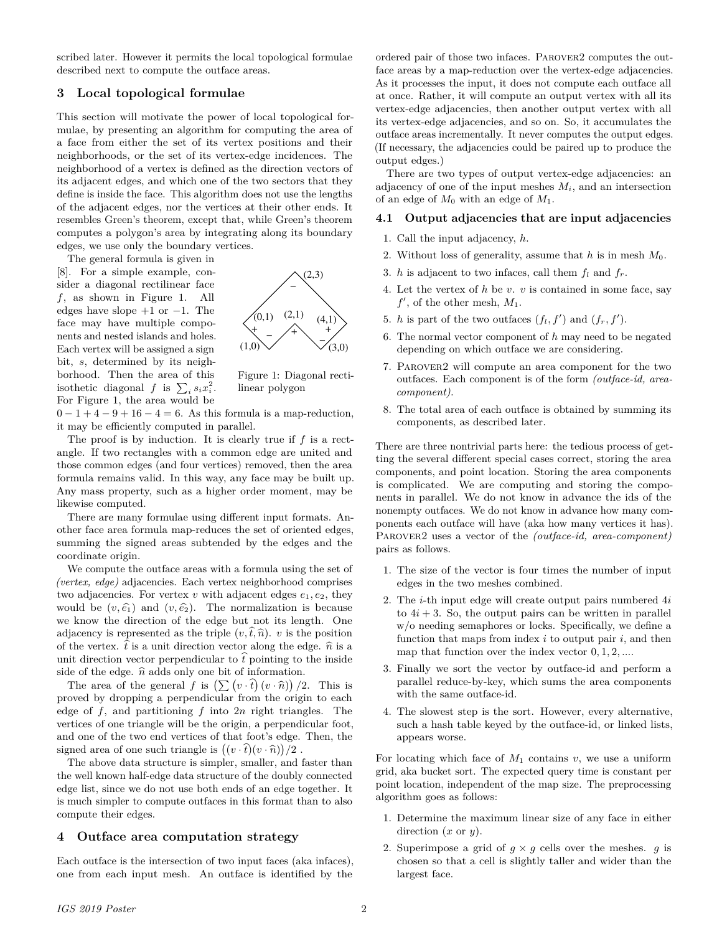scribed later. However it permits the local topological formulae described next to compute the outface areas.

#### **3 Local topological formulae**

This section will motivate the power of local topological formulae, by presenting an algorithm for computing the area of a face from either the set of its vertex positions and their neighborhoods, or the set of its vertex-edge incidences. The neighborhood of a vertex is defined as the direction vectors of its adjacent edges, and which one of the two sectors that they define is inside the face. This algorithm does not use the lengths of the adjacent edges, nor the vertices at their other ends. It resembles Green's theorem, except that, while Green's theorem computes a polygon's area by integrating along its boundary edges, we use only the boundary vertices.

The general formula is given in [8]. For a simple example, consider a diagonal rectilinear face  $f$ , as shown in Figure 1. All edges have slope  $+1$  or  $-1$ . The face may have multiple components and nested islands and holes. Each vertex will be assigned a sign bit, s, determined by its neighborhood. Then the area of this isothetic diagonal f is  $\sum_i s_i x_i^2$ . For Figure 1, the area would be



Figure 1: Diagonal rectilinear polygon

 $0-1+4-9+16-4=6$ . As this formula is a map-reduction, it may be efficiently computed in parallel.

The proof is by induction. It is clearly true if  $f$  is a rectangle. If two rectangles with a common edge are united and those common edges (and four vertices) removed, then the area formula remains valid. In this way, any face may be built up. Any mass property, such as a higher order moment, may be likewise computed.

There are many formulae using different input formats. Another face area formula map-reduces the set of oriented edges, summing the signed areas subtended by the edges and the coordinate origin.

We compute the outface areas with a formula using the set of *(vertex, edge)* adjacencies. Each vertex neighborhood comprises two adjacencies. For vertex v with adjacent edges  $e_1, e_2$ , they would be  $(v, \hat{e}_1)$  and  $(v, \hat{e}_2)$ . The normalization is because we know the direction of the edge but not its length. One adjacency is represented as the triple  $(v, \hat{t}, \hat{n})$ . v is the position of the vertex.  $\hat{t}$  is a unit direction vector along the edge.  $\hat{n}$  is a unit direction vector perpendicular to  $\hat{t}$  pointing to the inside side of the edge.  $\hat{n}$  adds only one bit of information.

The area of the general f is  $\left(\sum (v \cdot \hat{t}) (v \cdot \hat{n})\right)/2$ . This is proved by dropping a perpendicular from the origin to each edge of  $f$ , and partitioning  $f$  into  $2n$  right triangles. The vertices of one triangle will be the origin, a perpendicular foot, and one of the two end vertices of that foot's edge. Then, the signed area of one such triangle is  $((v \cdot \hat{i})(v \cdot \hat{n}))/2$ .<br>The show date structure is simpler, smaller, and if

The above data structure is simpler, smaller, and faster than the well known half-edge data structure of the doubly connected edge list, since we do not use both ends of an edge together. It is much simpler to compute outfaces in this format than to also compute their edges.

#### **4 Outface area computation strategy**

Each outface is the intersection of two input faces (aka infaces), one from each input mesh. An outface is identified by the ordered pair of those two infaces. Parover2 computes the outface areas by a map-reduction over the vertex-edge adjacencies. As it processes the input, it does not compute each outface all at once. Rather, it will compute an output vertex with all its vertex-edge adjacencies, then another output vertex with all its vertex-edge adjacencies, and so on. So, it accumulates the outface areas incrementally. It never computes the output edges. (If necessary, the adjacencies could be paired up to produce the output edges.)

There are two types of output vertex-edge adjacencies: an adjacency of one of the input meshes  $M_i$ , and an intersection of an edge of  $M_0$  with an edge of  $M_1$ .

#### **4.1 Output adjacencies that are input adjacencies**

- 1. Call the input adjacency, h.
- 2. Without loss of generality, assume that h is in mesh  $M_0$ .
- 3. h is adjacent to two infaces, call them  $f_l$  and  $f_r$ .
- 4. Let the vertex of  $h$  be  $v$ .  $v$  is contained in some face, say  $f'$ , of the other mesh,  $M_1$ .
- 5. h is part of the two outfaces  $(f_l, f')$  and  $(f_r, f')$ .
- 6. The normal vector component of  $h$  may need to be negated depending on which outface we are considering.
- 7. Parover2 will compute an area component for the two outfaces. Each component is of the form *(outface-id, areacomponent)*.
- 8. The total area of each outface is obtained by summing its components, as described later.

There are three nontrivial parts here: the tedious process of getting the several different special cases correct, storing the area components, and point location. Storing the area components is complicated. We are computing and storing the components in parallel. We do not know in advance the ids of the nonempty outfaces. We do not know in advance how many components each outface will have (aka how many vertices it has). Parover2 uses a vector of the *(outface-id, area-component)* pairs as follows.

- 1. The size of the vector is four times the number of input edges in the two meshes combined.
- 2. The *i*-th input edge will create output pairs numbered  $4i$ to  $4i + 3$ . So, the output pairs can be written in parallel w/o needing semaphores or locks. Specifically, we define a function that maps from index  $i$  to output pair  $i$ , and then map that function over the index vector  $0, 1, 2, \ldots$
- 3. Finally we sort the vector by outface-id and perform a parallel reduce-by-key, which sums the area components with the same outface-id.
- 4. The slowest step is the sort. However, every alternative, such a hash table keyed by the outface-id, or linked lists, appears worse.

For locating which face of  $M_1$  contains v, we use a uniform grid, aka bucket sort. The expected query time is constant per point location, independent of the map size. The preprocessing algorithm goes as follows:

- 1. Determine the maximum linear size of any face in either direction  $(x \text{ or } y)$ .
- 2. Superimpose a grid of  $g \times g$  cells over the meshes. g is chosen so that a cell is slightly taller and wider than the largest face.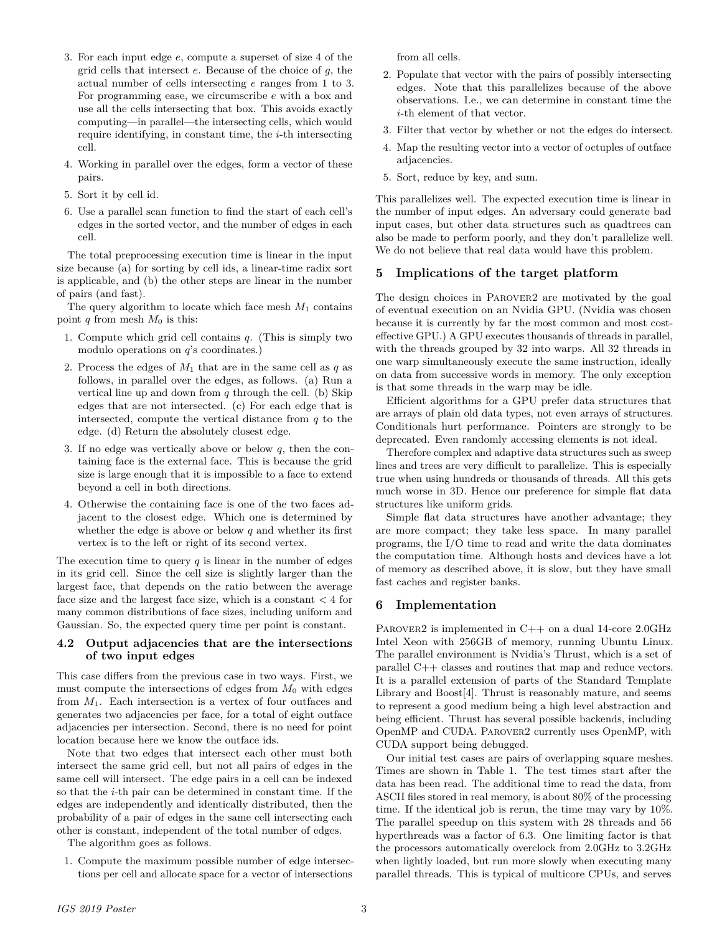- 3. For each input edge e, compute a superset of size 4 of the grid cells that intersect  $e$ . Because of the choice of  $g$ , the actual number of cells intersecting e ranges from 1 to 3. For programming ease, we circumscribe e with a box and use all the cells intersecting that box. This avoids exactly computing—in parallel—the intersecting cells, which would require identifying, in constant time, the  $i$ -th intersecting cell.
- 4. Working in parallel over the edges, form a vector of these pairs.
- 5. Sort it by cell id.
- 6. Use a parallel scan function to find the start of each cell's edges in the sorted vector, and the number of edges in each cell.

The total preprocessing execution time is linear in the input size because (a) for sorting by cell ids, a linear-time radix sort is applicable, and (b) the other steps are linear in the number of pairs (and fast).

The query algorithm to locate which face mesh  $M_1$  contains point q from mesh  $M_0$  is this:

- 1. Compute which grid cell contains  $q$ . (This is simply two modulo operations on  $q$ 's coordinates.)
- 2. Process the edges of  $M_1$  that are in the same cell as q as follows, in parallel over the edges, as follows. (a) Run a vertical line up and down from  $q$  through the cell. (b) Skip edges that are not intersected. (c) For each edge that is intersected, compute the vertical distance from  $q$  to the edge. (d) Return the absolutely closest edge.
- 3. If no edge was vertically above or below  $q$ , then the containing face is the external face. This is because the grid size is large enough that it is impossible to a face to extend beyond a cell in both directions.
- 4. Otherwise the containing face is one of the two faces adjacent to the closest edge. Which one is determined by whether the edge is above or below  $q$  and whether its first vertex is to the left or right of its second vertex.

The execution time to query  $q$  is linear in the number of edges in its grid cell. Since the cell size is slightly larger than the largest face, that depends on the ratio between the average face size and the largest face size, which is a constant  $\lt 4$  for many common distributions of face sizes, including uniform and Gaussian. So, the expected query time per point is constant.

### **4.2 Output adjacencies that are the intersections of two input edges**

This case differs from the previous case in two ways. First, we must compute the intersections of edges from  $M_0$  with edges from  $M_1$ . Each intersection is a vertex of four outfaces and generates two adjacencies per face, for a total of eight outface adjacencies per intersection. Second, there is no need for point location because here we know the outface ids.

Note that two edges that intersect each other must both intersect the same grid cell, but not all pairs of edges in the same cell will intersect. The edge pairs in a cell can be indexed so that the i-th pair can be determined in constant time. If the edges are independently and identically distributed, then the probability of a pair of edges in the same cell intersecting each other is constant, independent of the total number of edges.

The algorithm goes as follows.

1. Compute the maximum possible number of edge intersections per cell and allocate space for a vector of intersections

from all cells.

- 2. Populate that vector with the pairs of possibly intersecting edges. Note that this parallelizes because of the above observations. I.e., we can determine in constant time the i-th element of that vector.
- 3. Filter that vector by whether or not the edges do intersect.
- 4. Map the resulting vector into a vector of octuples of outface adjacencies.
- 5. Sort, reduce by key, and sum.

This parallelizes well. The expected execution time is linear in the number of input edges. An adversary could generate bad input cases, but other data structures such as quadtrees can also be made to perform poorly, and they don't parallelize well. We do not believe that real data would have this problem.

## **5 Implications of the target platform**

The design choices in Parover2 are motivated by the goal of eventual execution on an Nvidia GPU. (Nvidia was chosen because it is currently by far the most common and most costeffective GPU.) A GPU executes thousands of threads in parallel, with the threads grouped by 32 into warps. All 32 threads in one warp simultaneously execute the same instruction, ideally on data from successive words in memory. The only exception is that some threads in the warp may be idle.

Efficient algorithms for a GPU prefer data structures that are arrays of plain old data types, not even arrays of structures. Conditionals hurt performance. Pointers are strongly to be deprecated. Even randomly accessing elements is not ideal.

Therefore complex and adaptive data structures such as sweep lines and trees are very difficult to parallelize. This is especially true when using hundreds or thousands of threads. All this gets much worse in 3D. Hence our preference for simple flat data structures like uniform grids.

Simple flat data structures have another advantage; they are more compact; they take less space. In many parallel programs, the I/O time to read and write the data dominates the computation time. Although hosts and devices have a lot of memory as described above, it is slow, but they have small fast caches and register banks.

## **6 Implementation**

PAROVER2 is implemented in  $C++$  on a dual 14-core 2.0GHz Intel Xeon with 256GB of memory, running Ubuntu Linux. The parallel environment is Nvidia's Thrust, which is a set of parallel C++ classes and routines that map and reduce vectors. It is a parallel extension of parts of the Standard Template Library and Boost[4]. Thrust is reasonably mature, and seems to represent a good medium being a high level abstraction and being efficient. Thrust has several possible backends, including OpenMP and CUDA. Parover2 currently uses OpenMP, with CUDA support being debugged.

Our initial test cases are pairs of overlapping square meshes. Times are shown in Table 1. The test times start after the data has been read. The additional time to read the data, from ASCII files stored in real memory, is about 80% of the processing time. If the identical job is rerun, the time may vary by 10%. The parallel speedup on this system with 28 threads and 56 hyperthreads was a factor of 6.3. One limiting factor is that the processors automatically overclock from 2.0GHz to 3.2GHz when lightly loaded, but run more slowly when executing many parallel threads. This is typical of multicore CPUs, and serves